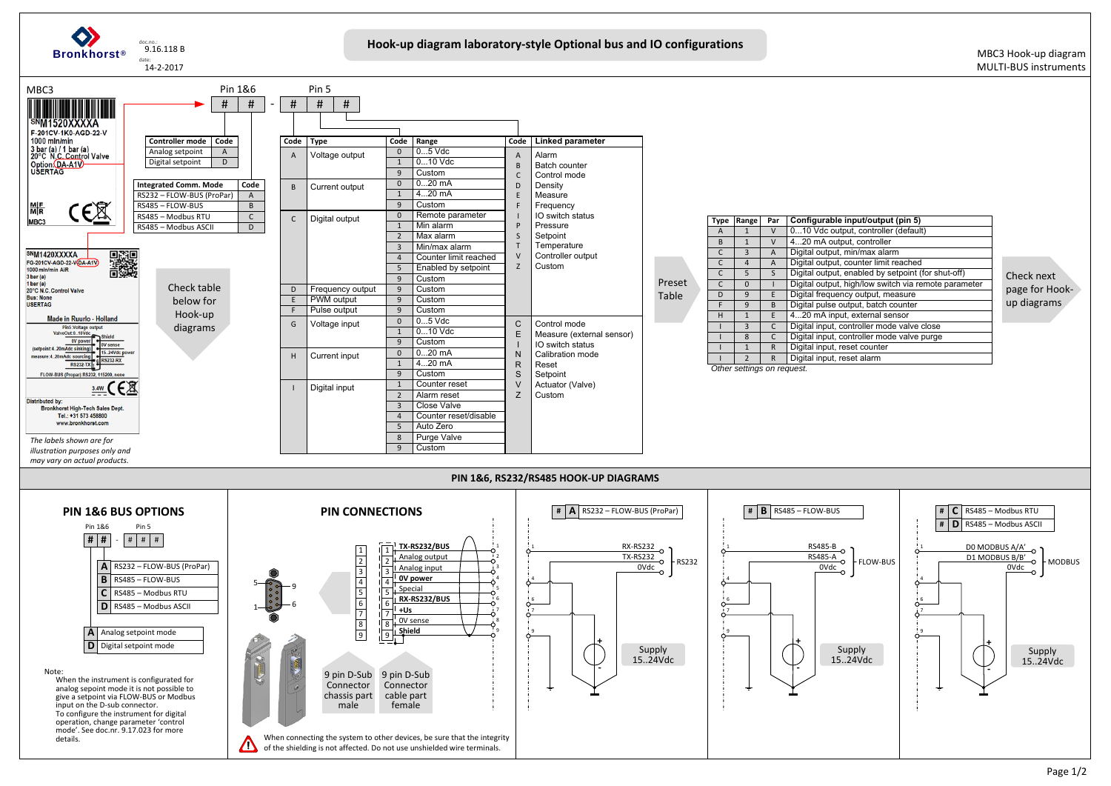

| input/output (pin 5)                 |
|--------------------------------------|
| tput, controller (default)           |
| put, controller                      |
| min/max alarm                        |
| counter limit reached                |
| enabled by setpoint (for shut-off)   |
| high/low switch via remote parameter |
| ncy output, measure                  |
| output, batch counter                |
| ut, external sensor                  |
| controller mode valve close          |
| controller mode valve purge          |
| eset counter                         |
| eset alarm                           |
|                                      |